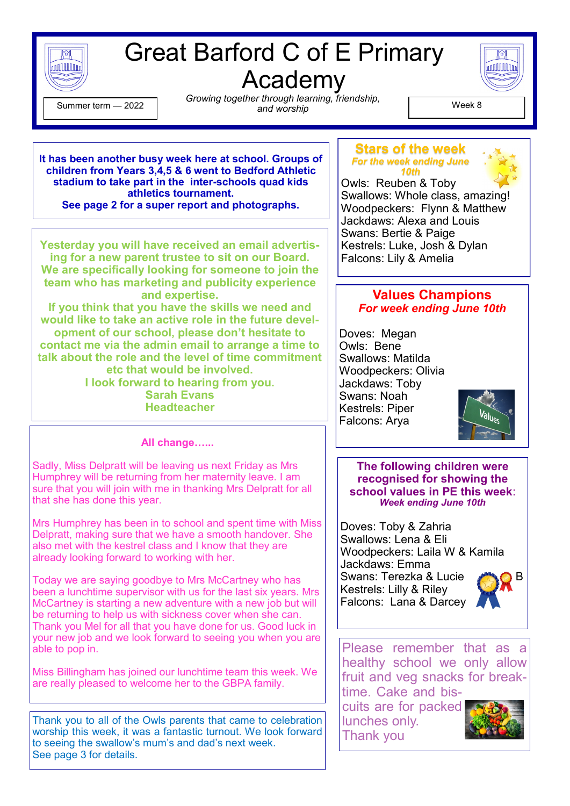

# Great Barford C of E Primary Academy



 $\begin{array}{c} \text{Gamma} \\ \text{mean} \\ \text{and working} \\ \text{and working} \end{array}$ ,  $\begin{array}{c} \text{Nentering,} \\ \text{Nentering,} \\ \text{P} \end{array}$ *Growing together through learning, friendship, and worship* Summer term — <sup>2022</sup> Week 8

**It has been another busy week here at school. Groups of children from Years 3,4,5 & 6 went to Bedford Athletic stadium to take part in the inter-schools quad kids athletics tournament. See page 2 for a super report and photographs.** 

**Yesterday you will have received an email advertising for a new parent trustee to sit on our Board. We are specifically looking for someone to join the team who has marketing and publicity experience and expertise.** 

**If you think that you have the skills we need and would like to take an active role in the future development of our school, please don't hesitate to contact me via the admin email to arrange a time to talk about the role and the level of time commitment etc that would be involved. I look forward to hearing from you. Sarah Evans**

**Headteacher**

## **All change…...**

Sadly, Miss Delpratt will be leaving us next Friday as Mrs Humphrey will be returning from her maternity leave. I am sure that you will join with me in thanking Mrs Delpratt for all that she has done this year.

Mrs Humphrey has been in to school and spent time with Miss Delpratt, making sure that we have a smooth handover. She also met with the kestrel class and I know that they are already looking forward to working with her.

Today we are saying goodbye to Mrs McCartney who has been a lunchtime supervisor with us for the last six years. Mrs McCartney is starting a new adventure with a new job but will be returning to help us with sickness cover when she can. Thank you Mel for all that you have done for us. Good luck in your new job and we look forward to seeing you when you are able to pop in.

Miss Billingham has joined our lunchtime team this week. We are really pleased to welcome her to the GBPA family.

Thank you to all of the Owls parents that came to celebration worship this week, it was a fantastic turnout. We look forward to seeing the swallow's mum's and dad's next week. See page 3 for details.

#### **Stars of the week** *For the week ending June 10th*



Owls: Reuben & Toby Swallows: Whole class, amazing! Woodpeckers: Flynn & Matthew Jackdaws: Alexa and Louis Swans: Bertie & Paige Kestrels: Luke, Josh & Dylan Falcons: Lily & Amelia

## **Values Champions** *For week ending June 10th*

Doves: Megan Owls: Bene Swallows: Matilda Woodpeckers: Olivia Jackdaws: Toby Swans: Noah Kestrels: Piper Falcons: Arya



### **The following children were recognised for showing the school values in PE this week**: *Week ending June 10th*

Doves: Toby & Zahria Swallows: Lena & Eli Woodpeckers: Laila W & Kamila Jackdaws: Emma Swans: Terezka & Lucie Kestrels: Lilly & Riley Falcons: Lana & Darcey



Please remember that as a healthy school we only allow fruit and veg snacks for breaktime. Cake and bis-

cuits are for packed lunches only. Thank you

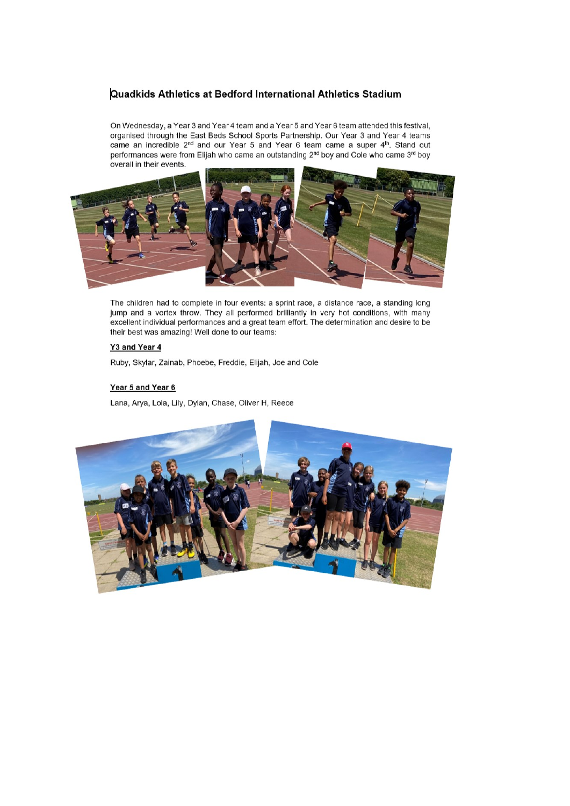### Quadkids Athletics at Bedford International Athletics Stadium

On Wednesday, a Year 3 and Year 4 team and a Year 5 and Year 6 team attended this festival, organised through the East Beds School Sports Partnership. Our Year 3 and Year 4 teams came an incredible 2<sup>nd</sup> and our Year 5 and Year 6 team came a super 4<sup>th</sup>. Stand out performances were from Elijah who came an outstanding 2<sup>nd</sup> boy and Cole who came 3<sup>rd</sup> boy overall in their events.



The children had to complete in four events: a sprint race, a distance race, a standing long jump and a vortex throw. They all performed brilliantly in very hot conditions, with many excellent individual performances and a great team effort. The determination and desire to be their best was amazing! Well done to our teams:

#### Y3 and Year 4

Ruby, Skylar, Zainab, Phoebe, Freddie, Elijah, Joe and Cole

#### Year 5 and Year 6

Lana, Arya, Lola, Lily, Dylan, Chase, Oliver H, Reece

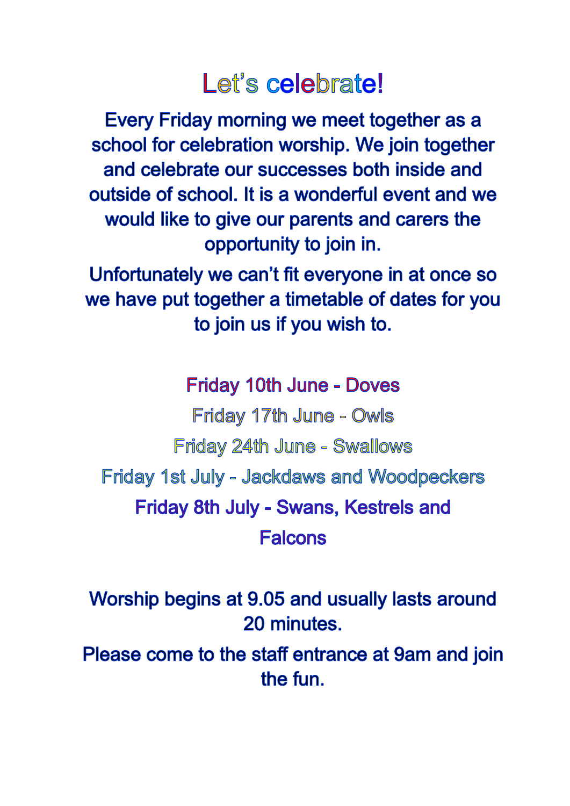# Let's celebrate!

Every Friday morning we meet together as a school for celebration worship. We join together and celebrate our successes both inside and outside of school. It is a wonderful event and we would like to give our parents and carers the opportunity to join in.

Unfortunately we can't fit everyone in at once so we have put together a timetable of dates for you to join us if you wish to.

**Friday 10th June - Doves Friday 17th June - Owls** Friday 24th June - Swallows Friday 1st July - Jackdaws and Woodpeckers Friday 8th July - Swans, Kestrels and **Falcons** 

Worship begins at 9.05 and usually lasts around 20 minutes.

Please come to the staff entrance at 9am and join the fun.